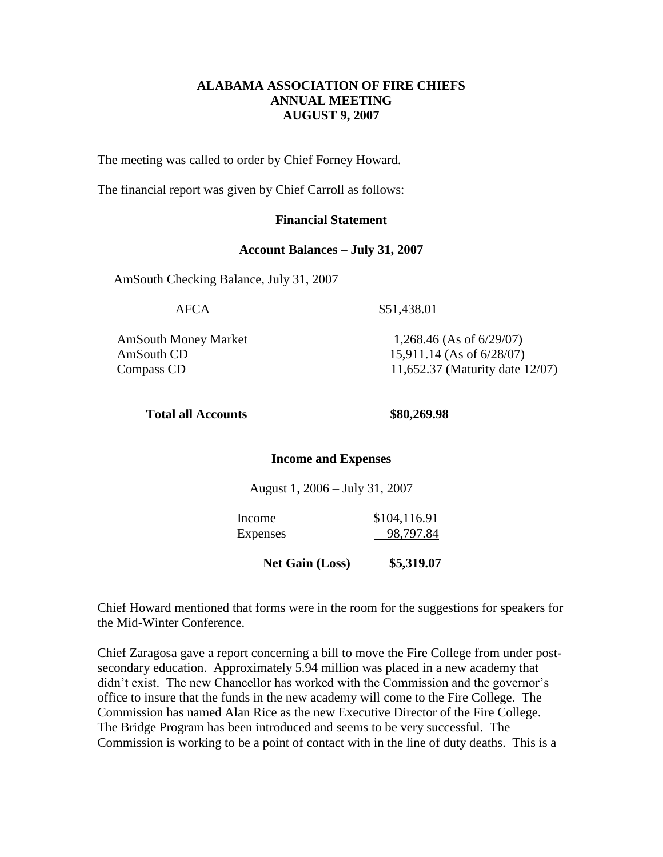## **ALABAMA ASSOCIATION OF FIRE CHIEFS ANNUAL MEETING AUGUST 9, 2007**

The meeting was called to order by Chief Forney Howard.

The financial report was given by Chief Carroll as follows:

### **Financial Statement**

#### **Account Balances – July 31, 2007**

AmSouth Checking Balance, July 31, 2007

AFCA \$51,438.01

AmSouth Money Market 1,268.46 (As of 6/29/07)

AmSouth CD 15,911.14 (As of 6/28/07) Compass CD  $\frac{11,652.37}{11,652.37}$  (Maturity date 12/07)

#### **Total all Accounts \$80,269.98**

#### **Income and Expenses**

August 1, 2006 – July 31, 2007

Income \$104,116.91 Expenses 98,797.84

 **Net Gain (Loss) \$5,319.07**

Chief Howard mentioned that forms were in the room for the suggestions for speakers for the Mid-Winter Conference.

Chief Zaragosa gave a report concerning a bill to move the Fire College from under postsecondary education. Approximately 5.94 million was placed in a new academy that didn't exist. The new Chancellor has worked with the Commission and the governor's office to insure that the funds in the new academy will come to the Fire College. The Commission has named Alan Rice as the new Executive Director of the Fire College. The Bridge Program has been introduced and seems to be very successful. The Commission is working to be a point of contact with in the line of duty deaths. This is a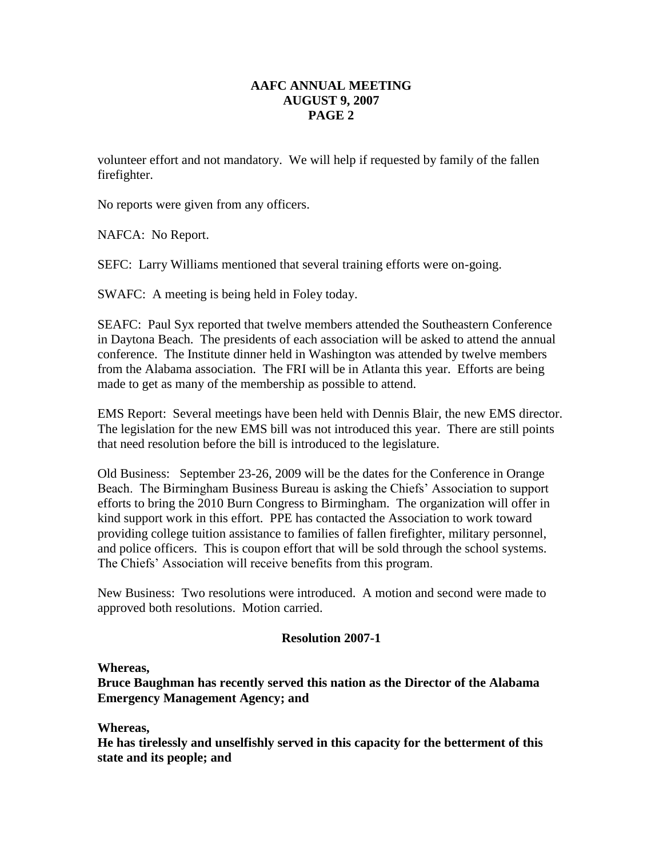# **AAFC ANNUAL MEETING AUGUST 9, 2007 PAGE 2**

volunteer effort and not mandatory. We will help if requested by family of the fallen firefighter.

No reports were given from any officers.

NAFCA: No Report.

SEFC: Larry Williams mentioned that several training efforts were on-going.

SWAFC: A meeting is being held in Foley today.

SEAFC: Paul Syx reported that twelve members attended the Southeastern Conference in Daytona Beach. The presidents of each association will be asked to attend the annual conference. The Institute dinner held in Washington was attended by twelve members from the Alabama association. The FRI will be in Atlanta this year. Efforts are being made to get as many of the membership as possible to attend.

EMS Report: Several meetings have been held with Dennis Blair, the new EMS director. The legislation for the new EMS bill was not introduced this year. There are still points that need resolution before the bill is introduced to the legislature.

Old Business: September 23-26, 2009 will be the dates for the Conference in Orange Beach. The Birmingham Business Bureau is asking the Chiefs' Association to support efforts to bring the 2010 Burn Congress to Birmingham. The organization will offer in kind support work in this effort. PPE has contacted the Association to work toward providing college tuition assistance to families of fallen firefighter, military personnel, and police officers. This is coupon effort that will be sold through the school systems. The Chiefs' Association will receive benefits from this program.

New Business: Two resolutions were introduced. A motion and second were made to approved both resolutions. Motion carried.

### **Resolution 2007-1**

**Whereas,**

**Bruce Baughman has recently served this nation as the Director of the Alabama Emergency Management Agency; and**

**Whereas,**

**He has tirelessly and unselfishly served in this capacity for the betterment of this state and its people; and**